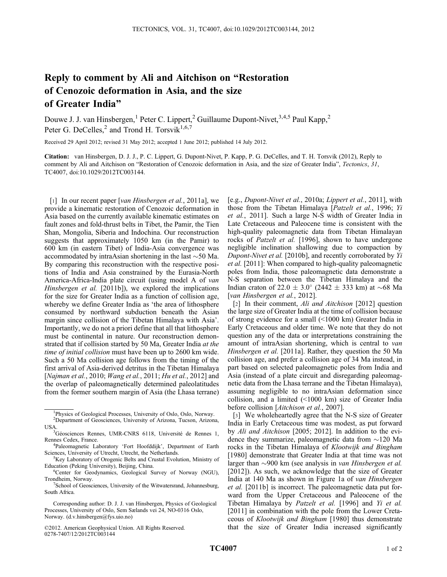## Reply to comment by Ali and Aitchison on "Restoration of Cenozoic deformation in Asia, and the size of Greater India"

Douwe J. J. van Hinsbergen,<sup>1</sup> Peter C. Lippert,<sup>2</sup> Guillaume Dupont-Nivet,<sup>3,4,5</sup> Paul Kapp,<sup>2</sup> Peter G. DeCelles,<sup>2</sup> and Trond H. Torsvik<sup>1,6,7</sup>

Received 29 April 2012; revised 31 May 2012; accepted 1 June 2012; published 14 July 2012.

Citation: van Hinsbergen, D. J. J., P. C. Lippert, G. Dupont-Nivet, P. Kapp, P. G. DeCelles, and T. H. Torsvik (2012), Reply to comment by Ali and Aitchison on "Restoration of Cenozoic deformation in Asia, and the size of Greater India", Tectonics, 31, TC4007, doi:10.1029/2012TC003144.

[1] In our recent paper [van Hinsbergen et al., 2011a], we provide a kinematic restoration of Cenozoic deformation in Asia based on the currently available kinematic estimates on fault zones and fold-thrust belts in Tibet, the Pamir, the Tien Shan, Mongolia, Siberia and Indochina. Our reconstruction suggests that approximately 1050 km (in the Pamir) to 600 km (in eastern Tibet) of India-Asia convergence was accommodated by intraAsian shortening in the last  $\sim$  50 Ma. By comparing this reconstruction with the respective positions of India and Asia constrained by the Eurasia-North America-Africa-India plate circuit (using model A of van Hinsbergen et al. [2011b]), we explored the implications for the size for Greater India as a function of collision age, whereby we define Greater India as 'the area of lithosphere consumed by northward subduction beneath the Asian margin since collision of the Tibetan Himalaya with Asia'. Importantly, we do not a priori define that all that lithosphere must be continental in nature. Our reconstruction demonstrated that if collision started by 50 Ma, Greater India at the time of initial collision must have been up to 2600 km wide. Such a 50 Ma collision age follows from the timing of the first arrival of Asia-derived detritus in the Tibetan Himalaya [Najman et al., 2010; Wang et al., 2011; Hu et al., 2012] and the overlap of paleomagnetically determined paleolatitudes from the former southern margin of Asia (the Lhasa terrane)

©2012. American Geophysical Union. All Rights Reserved. 0278-7407/12/2012TC003144

[e.g., Dupont-Nivet et al., 2010a; Lippert et al., 2011], with those from the Tibetan Himalaya [Patzelt et al., 1996; Yi et al., 2011]. Such a large N-S width of Greater India in Late Cretaceous and Paleocene time is consistent with the high-quality paleomagnetic data from Tibetan Himalayan rocks of Patzelt et al. [1996], shown to have undergone negligible inclination shallowing due to compaction by Dupont-Nivet et al. [2010b], and recently corroborated by Yi et al. [2011]: When compared to high-quality paleomagnetic poles from India, those paleomagnetic data demonstrate a N-S separation between the Tibetan Himalaya and the Indian craton of 22.0  $\pm$  3.0 $^{\circ}$  (2442  $\pm$  333 km) at  $\sim$ 68 Ma [van Hinsbergen et al., 2012].

[2] In their comment, *Ali and Aitchison* [2012] question the large size of Greater India at the time of collision because of strong evidence for a small (<1000 km) Greater India in Early Cretaceous and older time. We note that they do not question any of the data or interpretations constraining the amount of intraAsian shortening, which is central to van Hinsbergen et al. [2011a]. Rather, they question the 50 Ma collision age, and prefer a collision age of 34 Ma instead, in part based on selected paleomagnetic poles from India and Asia (instead of a plate circuit and disregarding paleomagnetic data from the Lhasa terrane and the Tibetan Himalaya), assuming negligible to no intraAsian deformation since collision, and a limited (<1000 km) size of Greater India before collision [Aitchison et al., 2007].

[3] We wholeheartedly agree that the N-S size of Greater India in Early Cretaceous time was modest, as put forward by Ali and Aitchison [2005; 2012]. In addition to the evidence they summarize, paleomagnetic data from  $\sim$ 120 Ma rocks in the Tibetan Himalaya of Klootwijk and Bingham [1980] demonstrate that Greater India at that time was not larger than  $\sim$ 900 km (see analysis in van Hinsbergen et al. [2012]). As such, we acknowledge that the size of Greater India at 140 Ma as shown in Figure 1a of van Hinsbergen et al. [2011b] is incorrect. The paleomagnetic data put forward from the Upper Cretaceous and Paleocene of the Tibetan Himalaya by Patzelt et al. [1996] and Yi et al. [2011] in combination with the pole from the Lower Cretaceous of Klootwijk and Bingham [1980] thus demonstrate that the size of Greater India increased significantly

<sup>&</sup>lt;sup>1</sup>Physics of Geological Processes, University of Oslo, Oslo, Norway.

<sup>2</sup> Department of Geosciences, University of Arizona, Tucson, Arizona, **USA** 

<sup>&</sup>lt;sup>3</sup>Géosciences Rennes, UMR-CNRS 6118, Université de Rennes 1, Rennes Cedex, France.

<sup>&</sup>lt;sup>4</sup>Paleomagnetic Laboratory 'Fort Hoofddijk', Department of Earth Sciences, University of Utrecht, Utrecht, the Netherlands.

<sup>&</sup>lt;sup>5</sup>Key Laboratory of Orogenic Belts and Crustal Evolution, Ministry of Education (Peking University), Beijing, China. <sup>6</sup>

<sup>&</sup>lt;sup>6</sup>Center for Geodynamics, Geological Survey of Norway (NGU), Trondheim, Norway.

School of Geosciences, University of the Witwatersrand, Johannesburg, South Africa.

Corresponding author: D. J. J. van Hinsbergen, Physics of Geological Processes, University of Oslo, Sem Sælands vei 24, NO-0316 Oslo, Norway. (d.v.hinsbergen@fys.uio.no)